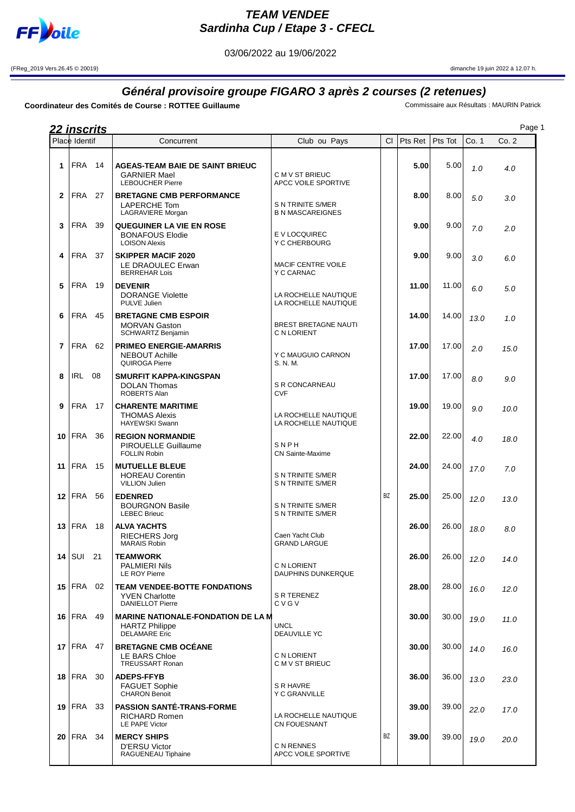

## **TEAM VENDEE Sardinha Cup / Etape 3 - CFECL**

03/06/2022 au 19/06/2022

(FReg\_2019 Vers.26.45 © 20019) dimanche 19 juin 2022 à 12.07 h.

## **Général provisoire groupe FIGARO 3 après 2 courses (2 retenues)**

**Coordinateur des Comités de Course : ROTTEE Guillaume** Commissaire aux Résultats : MAURIN Patrick

|              | <u>22 inscrits</u><br>Place Identif |     | Concurrent                                                                                 | Club ou Pays                                  | CI.        | Pts Ret | Pts Tot | Co. 1 | Co. 2 |
|--------------|-------------------------------------|-----|--------------------------------------------------------------------------------------------|-----------------------------------------------|------------|---------|---------|-------|-------|
|              |                                     |     |                                                                                            |                                               |            |         |         |       |       |
| 1            | <b>FRA</b>                          | 14  | <b>AGEAS-TEAM BAIE DE SAINT BRIEUC</b><br><b>GARNIER Mael</b><br><b>LEBOUCHER Pierre</b>   | C M V ST BRIEUC<br>APCC VOILE SPORTIVE        |            | 5.00    | 5.00    | 1.0   | 4.0   |
| $\mathbf{2}$ | <b>FRA</b>                          | 27  | <b>BRETAGNE CMB PERFORMANCE</b><br>LAPERCHE Tom<br>LAGRAVIERE Morgan                       | S N TRINITE S/MER<br><b>B N MASCAREIGNES</b>  |            | 8.00    | 8.00    | 5.0   | 3.0   |
| 3            | <b>FRA</b>                          | 39  | <b>QUEGUINER LA VIE EN ROSE</b><br><b>BONAFOUS Elodie</b><br><b>LOISON Alexis</b>          | E V LOCQUIREC<br>Y C CHERBOURG                |            | 9.00    | 9.00    | 7.0   | 2.0   |
| 4            | FRA                                 | 37  | <b>SKIPPER MACIF 2020</b><br>LE DRAOULEC Erwan<br><b>BERREHAR Lois</b>                     | MACIF CENTRE VOILE<br>Y C CARNAC              |            | 9.00    | 9.00    | 3.0   | 6.0   |
| 5            | <b>FRA</b>                          | 19  | <b>DEVENIR</b><br><b>DORANGE Violette</b><br>PULVE Julien                                  | LA ROCHELLE NAUTIQUE<br>LA ROCHELLE NAUTIQUE  |            | 11.00   | 11.00   | 6.0   | 5.0   |
| 6            | <b>FRA</b>                          | 45  | <b>BRETAGNE CMB ESPOIR</b><br><b>MORVAN Gaston</b><br><b>SCHWARTZ Benjamin</b>             | BREST BRETAGNE NAUTI<br>C N LORIENT           |            | 14.00   | 14.00   | 13.0  | 1.0   |
| 7            | FRA                                 | 62  | <b>PRIMEO ENERGIE-AMARRIS</b><br><b>NEBOUT Achille</b><br>QUIROGA Pierre                   | Y C MAUGUIO CARNON<br>S. N. M.                |            | 17.00   | 17.00   | 2.0   | 15.0  |
| 8            | <b>IRL 08</b>                       |     | <b>SMURFIT KAPPA-KINGSPAN</b><br><b>DOLAN Thomas</b><br><b>ROBERTS Alan</b>                | S R CONCARNEAU<br><b>CVF</b>                  |            | 17.00   | 17.00   | 8.0   | 9.0   |
| 9            | <b>FRA 17</b>                       |     | <b>CHARENTE MARITIME</b><br><b>THOMAS Alexis</b><br><b>HAYEWSKI Swann</b>                  | LA ROCHELLE NAUTIQUE<br>LA ROCHELLE NAUTIQUE  |            | 19.00   | 19.00   | 9.0   | 10.0  |
| 10           | <b>FRA</b>                          | 36  | <b>REGION NORMANDIE</b><br>PIROUELLE Guillaume<br><b>FOLLIN Robin</b>                      | SNPH<br><b>CN Sainte-Maxime</b>               |            | 22.00   | 22.00   | 4.0   | 18.0  |
| 11           | <b>FRA</b>                          | 15  | <b>MUTUELLE BLEUE</b><br><b>HOREAU Corentin</b><br><b>VILLION Julien</b>                   | S N TRINITE S/MER<br>S N TRINITE S/MER        |            | 24.00   | 24.00   | 17.0  | 7.0   |
| 12           | FRA                                 | 56  | <b>EDENRED</b><br><b>BOURGNON Basile</b><br><b>LEBEC Brieuc</b>                            | S N TRINITE S/MER<br><b>S N TRINITE S/MER</b> | <b>BIZ</b> | 25.00   | 25.00   | 12.0  | 13.0  |
| 13           | <b>FRA</b>                          | 18  | <b>ALVA YACHTS</b><br><b>RIECHERS Jorg</b><br><b>MARAIS Robin</b>                          | Caen Yacht Club<br><b>GRAND LARGUE</b>        |            | 26.00   | 26.00   | 18.0  | 8.0   |
| 14           | SUI 21                              |     | TEAMWORK<br><b>PALMIERI Nils</b><br>LE ROY Pierre                                          | C N LORIENT<br>DAUPHINS DUNKERQUE             |            | 26.00   | 26.00   | 12.0  | 14.0  |
|              | $15$ FRA 02                         |     | <b>TEAM VENDEE-BOTTE FONDATIONS</b><br><b>YVEN Charlotte</b><br><b>DANIELLOT Pierre</b>    | S R TERENEZ<br>CVGV                           |            | 28.00   | 28.00   | 16.0  | 12.0  |
| 16           | FRA                                 | 49  | <b>MARINE NATIONALE-FONDATION DE LA M</b><br><b>HARTZ Philippe</b><br><b>DELAMARE</b> Eric | <b>UNCL</b><br><b>DEAUVILLE YC</b>            |            | 30.00   | 30.00   | 19.0  | 11.0  |
| 17           | <b>FRA 47</b>                       |     | <b>BRETAGNE CMB OCEANE</b><br>LE BARS Chloe<br>TREUSSART Ronan                             | C N LORIENT<br>C M V ST BRIEUC                |            | 30.00   | 30.00   | 14.0  | 16.0  |
|              | 18   FRA                            | -30 | <b>ADEPS-FFYB</b><br><b>FAGUET Sophie</b><br><b>CHARON Benoit</b>                          | S R HAVRE<br>Y C GRANVILLE                    |            | 36.00   | 36.00   | 13.0  | 23.0  |
| 19           | FRA                                 | -33 | <b>PASSION SANTE-TRANS-FORME</b><br><b>RICHARD Romen</b><br>LE PAPE Victor                 | LA ROCHELLE NAUTIQUE<br><b>CN FOUESNANT</b>   |            | 39.00   | 39.00   | 22.0  | 17.0  |
| 20           | FRA 34                              |     | <b>MERCY SHIPS</b><br><b>D'ERSU Victor</b><br>RAGUENEAU Tiphaine                           | C N RENNES<br>APCC VOILE SPORTIVE             | <b>BIZ</b> | 39.00   | 39.00   | 19.0  | 20.0  |